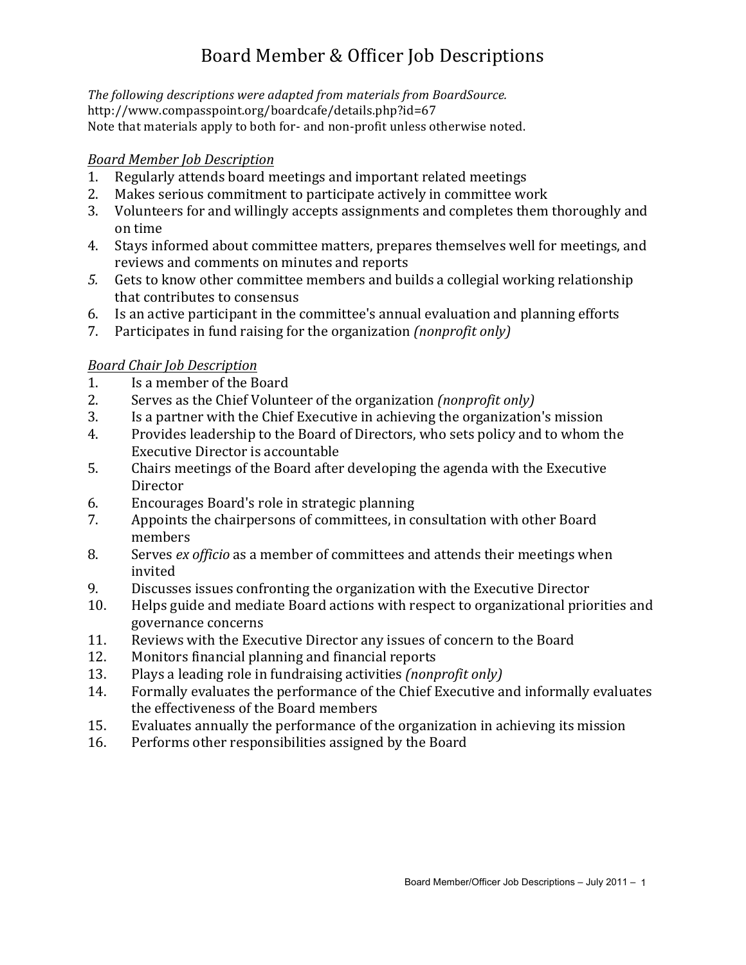# Board Member & Officer Job Descriptions

The following descriptions were adapted from materials from BoardSource. http://www.compasspoint.org/boardcafe/details.php?id=67 Note that materials apply to both for- and non-profit unless otherwise noted.

#### *Board Member Job Description*

- 1. Regularly attends board meetings and important related meetings
- 2. Makes serious commitment to participate actively in committee work
- 3. Volunteers for and willingly accepts assignments and completes them thoroughly and on time
- 4. Stays informed about committee matters, prepares themselves well for meetings, and reviews and comments on minutes and reports
- 5. Gets to know other committee members and builds a collegial working relationship that contributes to consensus
- 6. Is an active participant in the committee's annual evaluation and planning efforts
- 7. Participates in fund raising for the organization *(nonprofit only)*

# *Board Chair Job Description*

- 1. Is a member of the Board
- 2. Serves as the Chief Volunteer of the organization *(nonprofit only)*
- 3. Is a partner with the Chief Executive in achieving the organization's mission
- 4. Provides leadership to the Board of Directors, who sets policy and to whom the Executive Director is accountable
- 5. Chairs meetings of the Board after developing the agenda with the Executive **Director**
- 6. Encourages Board's role in strategic planning
- 7. Appoints the chairpersons of committees, in consultation with other Board members
- 8. Serves *ex officio* as a member of committees and attends their meetings when invited
- 9. Discusses issues confronting the organization with the Executive Director
- 10. Helps guide and mediate Board actions with respect to organizational priorities and governance concerns
- 11. Reviews with the Executive Director any issues of concern to the Board
- 12. Monitors financial planning and financial reports
- 13. Plays a leading role in fundraising activities *(nonprofit only)*
- 14. Formally evaluates the performance of the Chief Executive and informally evaluates the effectiveness of the Board members
- 15. Evaluates annually the performance of the organization in achieving its mission
- 16. Performs other responsibilities assigned by the Board